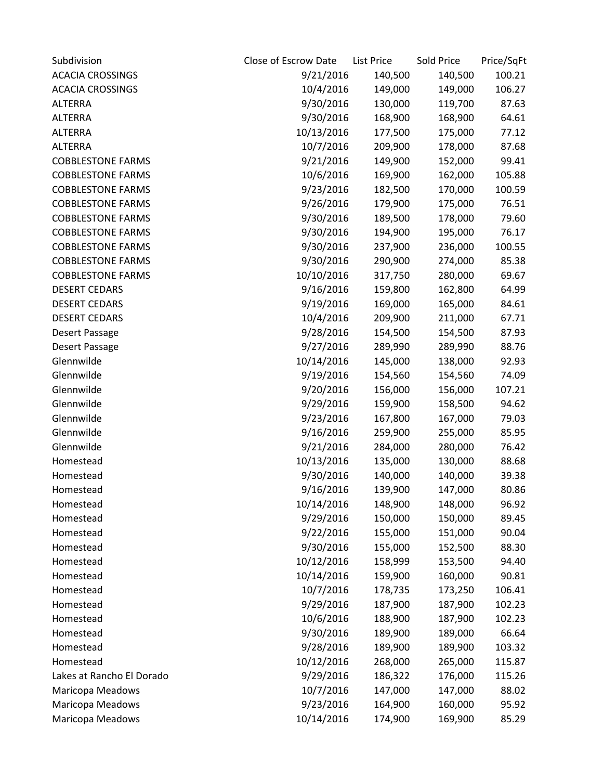| Subdivision               | Close of Escrow Date | <b>List Price</b> | Sold Price | Price/SqFt |
|---------------------------|----------------------|-------------------|------------|------------|
| <b>ACACIA CROSSINGS</b>   | 9/21/2016            | 140,500           | 140,500    | 100.21     |
| <b>ACACIA CROSSINGS</b>   | 10/4/2016            | 149,000           | 149,000    | 106.27     |
| <b>ALTERRA</b>            | 9/30/2016            | 130,000           | 119,700    | 87.63      |
| <b>ALTERRA</b>            | 9/30/2016            | 168,900           | 168,900    | 64.61      |
| <b>ALTERRA</b>            | 10/13/2016           | 177,500           | 175,000    | 77.12      |
| <b>ALTERRA</b>            | 10/7/2016            | 209,900           | 178,000    | 87.68      |
| <b>COBBLESTONE FARMS</b>  | 9/21/2016            | 149,900           | 152,000    | 99.41      |
| <b>COBBLESTONE FARMS</b>  | 10/6/2016            | 169,900           | 162,000    | 105.88     |
| <b>COBBLESTONE FARMS</b>  | 9/23/2016            | 182,500           | 170,000    | 100.59     |
| <b>COBBLESTONE FARMS</b>  | 9/26/2016            | 179,900           | 175,000    | 76.51      |
| <b>COBBLESTONE FARMS</b>  | 9/30/2016            | 189,500           | 178,000    | 79.60      |
| <b>COBBLESTONE FARMS</b>  | 9/30/2016            | 194,900           | 195,000    | 76.17      |
| <b>COBBLESTONE FARMS</b>  | 9/30/2016            | 237,900           | 236,000    | 100.55     |
| <b>COBBLESTONE FARMS</b>  | 9/30/2016            | 290,900           | 274,000    | 85.38      |
| <b>COBBLESTONE FARMS</b>  | 10/10/2016           | 317,750           | 280,000    | 69.67      |
| <b>DESERT CEDARS</b>      | 9/16/2016            | 159,800           | 162,800    | 64.99      |
| <b>DESERT CEDARS</b>      | 9/19/2016            | 169,000           | 165,000    | 84.61      |
| <b>DESERT CEDARS</b>      | 10/4/2016            | 209,900           | 211,000    | 67.71      |
| Desert Passage            | 9/28/2016            | 154,500           | 154,500    | 87.93      |
| Desert Passage            | 9/27/2016            | 289,990           | 289,990    | 88.76      |
| Glennwilde                | 10/14/2016           | 145,000           | 138,000    | 92.93      |
| Glennwilde                | 9/19/2016            | 154,560           | 154,560    | 74.09      |
| Glennwilde                | 9/20/2016            | 156,000           | 156,000    | 107.21     |
| Glennwilde                | 9/29/2016            | 159,900           | 158,500    | 94.62      |
| Glennwilde                | 9/23/2016            | 167,800           | 167,000    | 79.03      |
| Glennwilde                | 9/16/2016            | 259,900           | 255,000    | 85.95      |
| Glennwilde                | 9/21/2016            | 284,000           | 280,000    | 76.42      |
| Homestead                 | 10/13/2016           | 135,000           | 130,000    | 88.68      |
| Homestead                 | 9/30/2016            | 140,000           | 140,000    | 39.38      |
| Homestead                 | 9/16/2016            | 139,900           | 147,000    | 80.86      |
| Homestead                 | 10/14/2016           | 148,900           | 148,000    | 96.92      |
| Homestead                 | 9/29/2016            | 150,000           | 150,000    | 89.45      |
| Homestead                 | 9/22/2016            | 155,000           | 151,000    | 90.04      |
| Homestead                 | 9/30/2016            | 155,000           | 152,500    | 88.30      |
| Homestead                 | 10/12/2016           | 158,999           | 153,500    | 94.40      |
| Homestead                 | 10/14/2016           | 159,900           | 160,000    | 90.81      |
| Homestead                 | 10/7/2016            | 178,735           | 173,250    | 106.41     |
| Homestead                 | 9/29/2016            | 187,900           | 187,900    | 102.23     |
| Homestead                 | 10/6/2016            | 188,900           | 187,900    | 102.23     |
| Homestead                 | 9/30/2016            | 189,900           | 189,000    | 66.64      |
| Homestead                 | 9/28/2016            | 189,900           | 189,900    | 103.32     |
| Homestead                 | 10/12/2016           | 268,000           | 265,000    | 115.87     |
| Lakes at Rancho El Dorado | 9/29/2016            | 186,322           | 176,000    | 115.26     |
| Maricopa Meadows          | 10/7/2016            | 147,000           | 147,000    | 88.02      |
| Maricopa Meadows          | 9/23/2016            | 164,900           | 160,000    | 95.92      |
| Maricopa Meadows          | 10/14/2016           | 174,900           | 169,900    | 85.29      |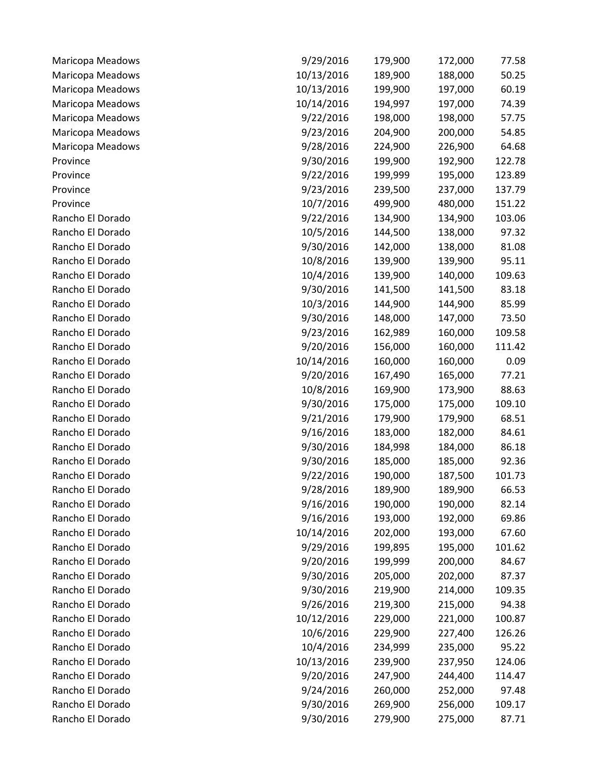| Maricopa Meadows | 9/29/2016  | 179,900 | 172,000 | 77.58  |
|------------------|------------|---------|---------|--------|
| Maricopa Meadows | 10/13/2016 | 189,900 | 188,000 | 50.25  |
| Maricopa Meadows | 10/13/2016 | 199,900 | 197,000 | 60.19  |
| Maricopa Meadows | 10/14/2016 | 194,997 | 197,000 | 74.39  |
| Maricopa Meadows | 9/22/2016  | 198,000 | 198,000 | 57.75  |
| Maricopa Meadows | 9/23/2016  | 204,900 | 200,000 | 54.85  |
| Maricopa Meadows | 9/28/2016  | 224,900 | 226,900 | 64.68  |
| Province         | 9/30/2016  | 199,900 | 192,900 | 122.78 |
| Province         | 9/22/2016  | 199,999 | 195,000 | 123.89 |
| Province         | 9/23/2016  | 239,500 | 237,000 | 137.79 |
| Province         | 10/7/2016  | 499,900 | 480,000 | 151.22 |
| Rancho El Dorado | 9/22/2016  | 134,900 | 134,900 | 103.06 |
| Rancho El Dorado | 10/5/2016  | 144,500 | 138,000 | 97.32  |
| Rancho El Dorado | 9/30/2016  | 142,000 | 138,000 | 81.08  |
| Rancho El Dorado | 10/8/2016  | 139,900 | 139,900 | 95.11  |
| Rancho El Dorado | 10/4/2016  | 139,900 | 140,000 | 109.63 |
| Rancho El Dorado | 9/30/2016  | 141,500 | 141,500 | 83.18  |
| Rancho El Dorado | 10/3/2016  | 144,900 | 144,900 | 85.99  |
| Rancho El Dorado | 9/30/2016  | 148,000 | 147,000 | 73.50  |
| Rancho El Dorado | 9/23/2016  | 162,989 | 160,000 | 109.58 |
| Rancho El Dorado | 9/20/2016  | 156,000 | 160,000 | 111.42 |
| Rancho El Dorado | 10/14/2016 | 160,000 | 160,000 | 0.09   |
| Rancho El Dorado | 9/20/2016  | 167,490 | 165,000 | 77.21  |
| Rancho El Dorado | 10/8/2016  | 169,900 | 173,900 | 88.63  |
| Rancho El Dorado | 9/30/2016  | 175,000 | 175,000 | 109.10 |
| Rancho El Dorado | 9/21/2016  | 179,900 | 179,900 | 68.51  |
| Rancho El Dorado | 9/16/2016  | 183,000 | 182,000 | 84.61  |
| Rancho El Dorado | 9/30/2016  | 184,998 | 184,000 | 86.18  |
| Rancho El Dorado | 9/30/2016  | 185,000 | 185,000 | 92.36  |
| Rancho El Dorado | 9/22/2016  | 190,000 | 187,500 | 101.73 |
| Rancho El Dorado | 9/28/2016  | 189,900 | 189,900 | 66.53  |
| Rancho El Dorado | 9/16/2016  | 190,000 | 190,000 | 82.14  |
| Rancho El Dorado | 9/16/2016  | 193,000 | 192,000 | 69.86  |
| Rancho El Dorado | 10/14/2016 | 202,000 | 193,000 | 67.60  |
| Rancho El Dorado | 9/29/2016  | 199,895 | 195,000 | 101.62 |
| Rancho El Dorado | 9/20/2016  | 199,999 | 200,000 | 84.67  |
| Rancho El Dorado | 9/30/2016  | 205,000 | 202,000 | 87.37  |
| Rancho El Dorado | 9/30/2016  | 219,900 | 214,000 | 109.35 |
| Rancho El Dorado | 9/26/2016  | 219,300 | 215,000 | 94.38  |
| Rancho El Dorado | 10/12/2016 | 229,000 | 221,000 | 100.87 |
| Rancho El Dorado | 10/6/2016  | 229,900 | 227,400 | 126.26 |
| Rancho El Dorado | 10/4/2016  | 234,999 | 235,000 | 95.22  |
| Rancho El Dorado | 10/13/2016 | 239,900 | 237,950 | 124.06 |
| Rancho El Dorado | 9/20/2016  | 247,900 | 244,400 | 114.47 |
| Rancho El Dorado | 9/24/2016  | 260,000 | 252,000 | 97.48  |
| Rancho El Dorado | 9/30/2016  | 269,900 | 256,000 | 109.17 |
| Rancho El Dorado | 9/30/2016  | 279,900 | 275,000 | 87.71  |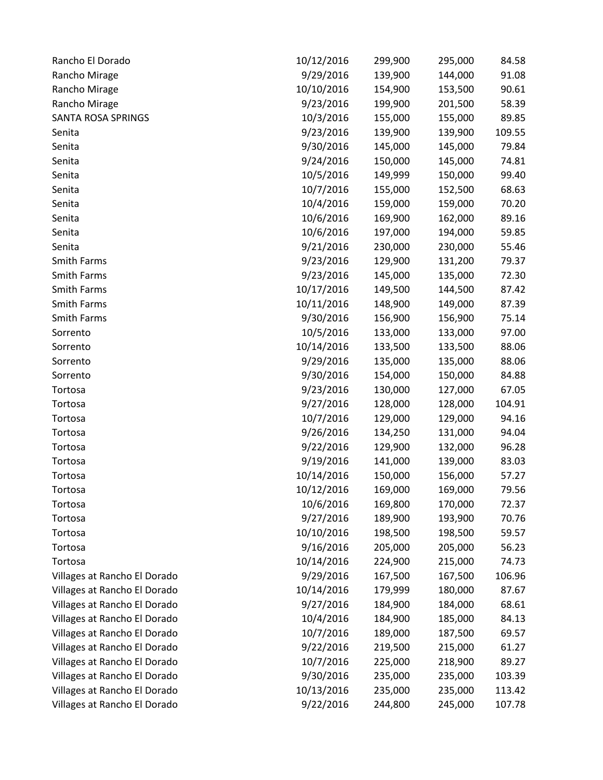| Rancho El Dorado             | 10/12/2016 | 299,900 | 295,000 | 84.58  |
|------------------------------|------------|---------|---------|--------|
| Rancho Mirage                | 9/29/2016  | 139,900 | 144,000 | 91.08  |
| Rancho Mirage                | 10/10/2016 | 154,900 | 153,500 | 90.61  |
| Rancho Mirage                | 9/23/2016  | 199,900 | 201,500 | 58.39  |
| <b>SANTA ROSA SPRINGS</b>    | 10/3/2016  | 155,000 | 155,000 | 89.85  |
| Senita                       | 9/23/2016  | 139,900 | 139,900 | 109.55 |
| Senita                       | 9/30/2016  | 145,000 | 145,000 | 79.84  |
| Senita                       | 9/24/2016  | 150,000 | 145,000 | 74.81  |
| Senita                       | 10/5/2016  | 149,999 | 150,000 | 99.40  |
| Senita                       | 10/7/2016  | 155,000 | 152,500 | 68.63  |
| Senita                       | 10/4/2016  | 159,000 | 159,000 | 70.20  |
| Senita                       | 10/6/2016  | 169,900 | 162,000 | 89.16  |
| Senita                       | 10/6/2016  | 197,000 | 194,000 | 59.85  |
| Senita                       | 9/21/2016  | 230,000 | 230,000 | 55.46  |
| Smith Farms                  | 9/23/2016  | 129,900 | 131,200 | 79.37  |
| Smith Farms                  | 9/23/2016  | 145,000 | 135,000 | 72.30  |
| Smith Farms                  | 10/17/2016 | 149,500 | 144,500 | 87.42  |
| Smith Farms                  | 10/11/2016 | 148,900 | 149,000 | 87.39  |
| Smith Farms                  | 9/30/2016  | 156,900 | 156,900 | 75.14  |
| Sorrento                     | 10/5/2016  | 133,000 | 133,000 | 97.00  |
| Sorrento                     | 10/14/2016 | 133,500 | 133,500 | 88.06  |
| Sorrento                     | 9/29/2016  | 135,000 | 135,000 | 88.06  |
| Sorrento                     | 9/30/2016  | 154,000 | 150,000 | 84.88  |
| Tortosa                      | 9/23/2016  | 130,000 | 127,000 | 67.05  |
| Tortosa                      | 9/27/2016  | 128,000 | 128,000 | 104.91 |
| Tortosa                      | 10/7/2016  | 129,000 | 129,000 | 94.16  |
| Tortosa                      | 9/26/2016  | 134,250 | 131,000 | 94.04  |
| Tortosa                      | 9/22/2016  | 129,900 | 132,000 | 96.28  |
| Tortosa                      | 9/19/2016  | 141,000 | 139,000 | 83.03  |
| Tortosa                      | 10/14/2016 | 150,000 | 156,000 | 57.27  |
| Tortosa                      | 10/12/2016 | 169,000 | 169,000 | 79.56  |
| Tortosa                      | 10/6/2016  | 169,800 | 170,000 | 72.37  |
| Tortosa                      | 9/27/2016  | 189,900 | 193,900 | 70.76  |
| Tortosa                      | 10/10/2016 | 198,500 | 198,500 | 59.57  |
| Tortosa                      | 9/16/2016  | 205,000 | 205,000 | 56.23  |
| Tortosa                      | 10/14/2016 | 224,900 | 215,000 | 74.73  |
| Villages at Rancho El Dorado | 9/29/2016  | 167,500 | 167,500 | 106.96 |
| Villages at Rancho El Dorado | 10/14/2016 | 179,999 | 180,000 | 87.67  |
| Villages at Rancho El Dorado | 9/27/2016  | 184,900 | 184,000 | 68.61  |
| Villages at Rancho El Dorado | 10/4/2016  | 184,900 | 185,000 | 84.13  |
| Villages at Rancho El Dorado | 10/7/2016  | 189,000 | 187,500 | 69.57  |
| Villages at Rancho El Dorado | 9/22/2016  | 219,500 | 215,000 | 61.27  |
| Villages at Rancho El Dorado | 10/7/2016  | 225,000 | 218,900 | 89.27  |
| Villages at Rancho El Dorado | 9/30/2016  | 235,000 | 235,000 | 103.39 |
| Villages at Rancho El Dorado | 10/13/2016 | 235,000 | 235,000 | 113.42 |
| Villages at Rancho El Dorado | 9/22/2016  | 244,800 | 245,000 | 107.78 |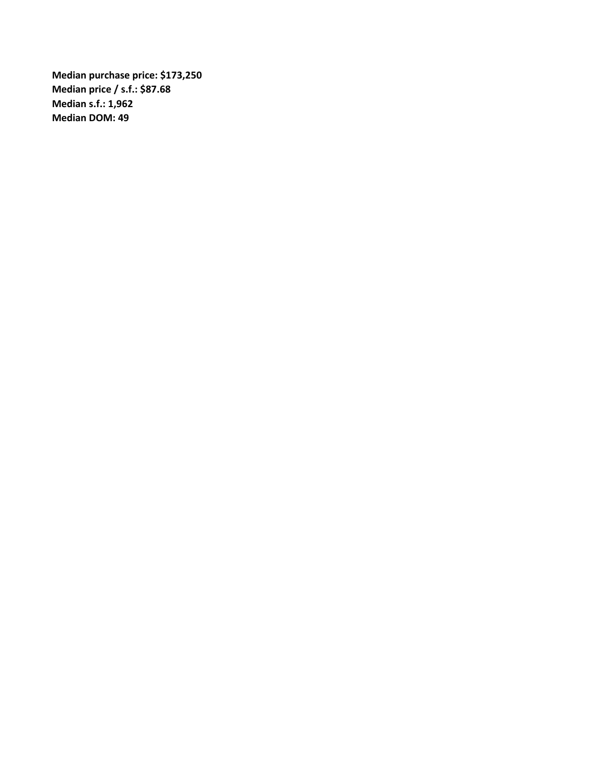**Median purchase price: \$173,250 Median price / s.f.: \$87.68 Median s.f.: 1,962 Median DOM: 49**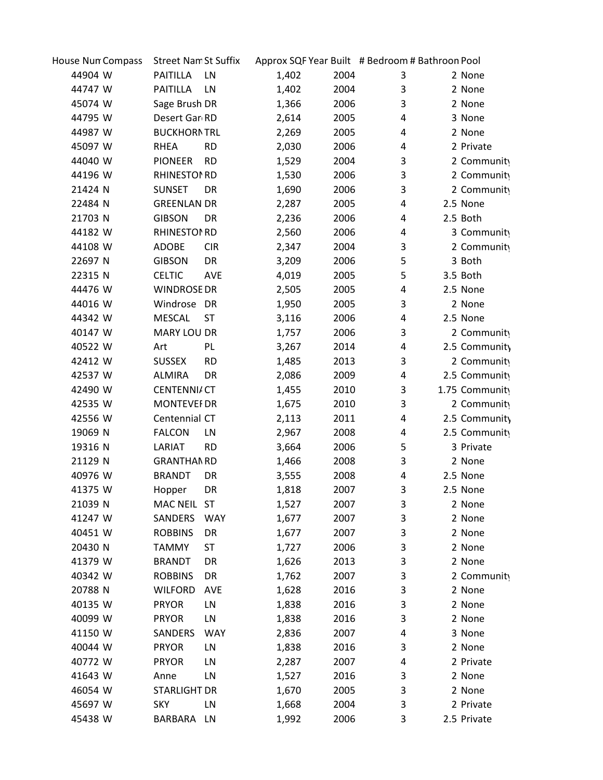| House Nun Compass | <b>Street NamSt Suffix</b>  |       |      | Approx SQF Year Built # Bedroom # Bathroon Pool |                |
|-------------------|-----------------------------|-------|------|-------------------------------------------------|----------------|
| 44904 W           | PAITILLA<br>LN              | 1,402 | 2004 | 3                                               | 2 None         |
| 44747 W           | <b>PAITILLA</b><br>LN       | 1,402 | 2004 | 3                                               | 2 None         |
| 45074 W           | Sage Brush DR               | 1,366 | 2006 | 3                                               | 2 None         |
| 44795 W           | Desert Gar RD               | 2,614 | 2005 | 4                                               | 3 None         |
| 44987 W           | <b>BUCKHORNTRL</b>          | 2,269 | 2005 | 4                                               | 2 None         |
| 45097 W           | <b>RD</b><br><b>RHEA</b>    | 2,030 | 2006 | 4                                               | 2 Private      |
| 44040 W           | <b>RD</b><br><b>PIONEER</b> | 1,529 | 2004 | 3                                               | 2 Community    |
| 44196 W           | <b>RHINESTON RD</b>         | 1,530 | 2006 | 3                                               | 2 Community    |
| 21424 N           | <b>SUNSET</b><br>DR         | 1,690 | 2006 | 3                                               | 2 Community    |
| 22484 N           | <b>GREENLAN DR</b>          | 2,287 | 2005 | 4                                               | 2.5 None       |
| 21703 N           | <b>GIBSON</b><br>DR         | 2,236 | 2006 | 4                                               | 2.5 Both       |
| 44182 W           | <b>RHINESTON RD</b>         | 2,560 | 2006 | 4                                               | 3 Community    |
| 44108 W           | <b>ADOBE</b><br><b>CIR</b>  | 2,347 | 2004 | 3                                               | 2 Community    |
| 22697 N           | <b>GIBSON</b><br>DR         | 3,209 | 2006 | 5                                               | 3 Both         |
| 22315 N           | <b>CELTIC</b><br>AVE        | 4,019 | 2005 | 5                                               | 3.5 Both       |
| 44476 W           | <b>WINDROSE DR</b>          | 2,505 | 2005 | 4                                               | 2.5 None       |
| 44016 W           | Windrose<br><b>DR</b>       | 1,950 | 2005 | 3                                               | 2 None         |
| 44342 W           | <b>MESCAL</b><br><b>ST</b>  | 3,116 | 2006 | 4                                               | 2.5 None       |
| 40147 W           | <b>MARY LOU DR</b>          | 1,757 | 2006 | 3                                               | 2 Community    |
| 40522 W           | PL<br>Art                   | 3,267 | 2014 | 4                                               | 2.5 Community  |
| 42412 W           | <b>SUSSEX</b><br><b>RD</b>  | 1,485 | 2013 | 3                                               | 2 Community    |
| 42537 W           | <b>ALMIRA</b><br>DR         | 2,086 | 2009 | 4                                               | 2.5 Community  |
| 42490 W           | <b>CENTENNIA CT</b>         | 1,455 | 2010 | 3                                               | 1.75 Community |
| 42535 W           | <b>MONTEVEF DR</b>          | 1,675 | 2010 | 3                                               | 2 Community    |
| 42556 W           | Centennial CT               | 2,113 | 2011 | 4                                               | 2.5 Community  |
| 19069 N           | <b>FALCON</b><br>LN         | 2,967 | 2008 | 4                                               | 2.5 Community  |
| 19316 N           | LARIAT<br><b>RD</b>         | 3,664 | 2006 | 5                                               | 3 Private      |
| 21129 N           | <b>GRANTHAN RD</b>          | 1,466 | 2008 | 3                                               | 2 None         |
| 40976 W           | <b>BRANDT</b><br>DR         | 3,555 | 2008 | 4                                               | 2.5 None       |
| 41375 W           | DR<br>Hopper                | 1,818 | 2007 | 3                                               | 2.5 None       |
| 21039 N           | MAC NEIL ST                 | 1,527 | 2007 | 3                                               | 2 None         |
| 41247 W           | SANDERS<br><b>WAY</b>       | 1,677 | 2007 | 3                                               | 2 None         |
| 40451 W           | <b>ROBBINS</b><br>DR        | 1,677 | 2007 | 3                                               | 2 None         |
| 20430 N           | TAMMY<br><b>ST</b>          | 1,727 | 2006 | 3                                               | 2 None         |
| 41379 W           | <b>BRANDT</b><br>DR         | 1,626 | 2013 | 3                                               | 2 None         |
| 40342 W           | <b>ROBBINS</b><br>DR        | 1,762 | 2007 | 3                                               | 2 Community    |
| 20788 N           | <b>WILFORD</b><br>AVE       | 1,628 | 2016 | 3                                               | 2 None         |
| 40135 W           | <b>PRYOR</b><br>LN          | 1,838 | 2016 | 3                                               | 2 None         |
| 40099 W           | LN<br><b>PRYOR</b>          | 1,838 | 2016 | 3                                               | 2 None         |
| 41150 W           | SANDERS<br><b>WAY</b>       | 2,836 | 2007 | 4                                               | 3 None         |
| 40044 W           | LN<br><b>PRYOR</b>          | 1,838 | 2016 | 3                                               | 2 None         |
| 40772 W           | <b>PRYOR</b><br>LN          | 2,287 | 2007 | 4                                               | 2 Private      |
| 41643 W           | LN<br>Anne                  | 1,527 | 2016 | 3                                               | 2 None         |
| 46054 W           | <b>STARLIGHT DR</b>         | 1,670 | 2005 | 3                                               | 2 None         |
| 45697 W           | <b>SKY</b><br>LN            | 1,668 | 2004 | 3                                               | 2 Private      |
| 45438 W           | BARBARA LN                  | 1,992 | 2006 | 3                                               | 2.5 Private    |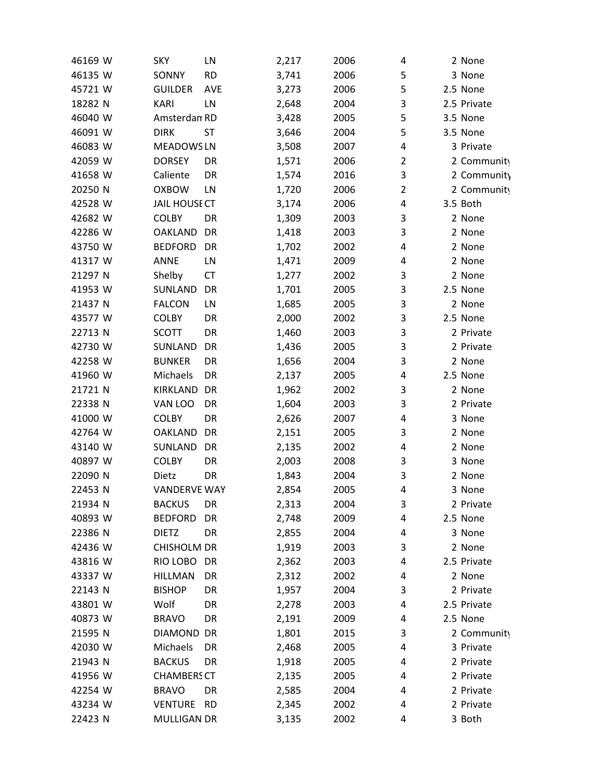| 46169 W | <b>SKY</b>           | LN        | 2,217 | 2006 | 4              | 2 None      |
|---------|----------------------|-----------|-------|------|----------------|-------------|
| 46135 W | SONNY                | <b>RD</b> | 3,741 | 2006 | 5              | 3 None      |
| 45721 W | <b>GUILDER</b>       | AVE       | 3,273 | 2006 | 5              | 2.5 None    |
| 18282 N | <b>KARI</b>          | LN        | 2,648 | 2004 | 3              | 2.5 Private |
| 46040 W | Amsterdan RD         |           | 3,428 | 2005 | 5              | 3.5 None    |
| 46091 W | <b>DIRK</b>          | ST        | 3,646 | 2004 | 5              | 3.5 None    |
| 46083 W | <b>MEADOWSLN</b>     |           | 3,508 | 2007 | 4              | 3 Private   |
| 42059 W | <b>DORSEY</b>        | DR        | 1,571 | 2006 | $\overline{2}$ | 2 Community |
| 41658 W | Caliente             | DR        | 1,574 | 2016 | 3              | 2 Community |
| 20250 N | <b>OXBOW</b>         | LN        | 1,720 | 2006 | $\overline{2}$ | 2 Community |
| 42528 W | <b>JAIL HOUSE CT</b> |           | 3,174 | 2006 | 4              | 3.5 Both    |
| 42682 W | <b>COLBY</b>         | DR        | 1,309 | 2003 | 3              | 2 None      |
| 42286 W | <b>OAKLAND</b>       | DR        | 1,418 | 2003 | 3              | 2 None      |
| 43750 W | <b>BEDFORD</b>       | DR        | 1,702 | 2002 | 4              | 2 None      |
| 41317 W | <b>ANNE</b>          | LN        | 1,471 | 2009 | 4              | 2 None      |
| 21297 N | Shelby               | <b>CT</b> | 1,277 | 2002 | 3              | 2 None      |
| 41953 W | SUNLAND              | DR        | 1,701 | 2005 | 3              | 2.5 None    |
| 21437 N | <b>FALCON</b>        | LN        | 1,685 | 2005 | 3              | 2 None      |
| 43577 W | <b>COLBY</b>         | DR        | 2,000 | 2002 | 3              | 2.5 None    |
| 22713 N | <b>SCOTT</b>         | DR        | 1,460 | 2003 | 3              | 2 Private   |
| 42730 W | SUNLAND              | DR        | 1,436 | 2005 | 3              | 2 Private   |
| 42258 W | <b>BUNKER</b>        | DR        | 1,656 | 2004 | 3              | 2 None      |
| 41960 W | Michaels             | DR        | 2,137 | 2005 | 4              | 2.5 None    |
| 21721 N | KIRKLAND             | DR        | 1,962 | 2002 | 3              | 2 None      |
| 22338 N | VAN LOO              | DR        | 1,604 | 2003 | 3              | 2 Private   |
| 41000 W | <b>COLBY</b>         | DR        | 2,626 | 2007 | 4              | 3 None      |
| 42764 W | OAKLAND              | DR        | 2,151 | 2005 | 3              | 2 None      |
| 43140 W | SUNLAND              | DR        | 2,135 | 2002 | 4              | 2 None      |
| 40897 W | <b>COLBY</b>         | DR        | 2,003 | 2008 | 3              | 3 None      |
| 22090 N | Dietz                | DR        | 1,843 | 2004 | 3              | 2 None      |
| 22453 N | <b>VANDERVE WAY</b>  |           | 2,854 | 2005 | 4              | 3 None      |
| 21934 N | <b>BACKUS</b>        | DR        | 2,313 | 2004 | 3              | 2 Private   |
| 40893 W | <b>BEDFORD</b>       | DR        | 2,748 | 2009 | 4              | 2.5 None    |
| 22386 N | <b>DIETZ</b>         | DR        | 2,855 | 2004 | 4              | 3 None      |
| 42436 W | <b>CHISHOLM DR</b>   |           | 1,919 | 2003 | 3              | 2 None      |
| 43816 W | RIO LOBO             | DR        | 2,362 | 2003 | 4              | 2.5 Private |
| 43337 W | <b>HILLMAN</b>       | DR        | 2,312 | 2002 | 4              | 2 None      |
| 22143 N | <b>BISHOP</b>        | DR        | 1,957 | 2004 | 3              | 2 Private   |
| 43801 W | Wolf                 | DR        | 2,278 | 2003 | 4              | 2.5 Private |
| 40873 W | <b>BRAVO</b>         | DR        | 2,191 | 2009 | 4              | 2.5 None    |
| 21595 N | <b>DIAMOND</b>       | DR        | 1,801 | 2015 | 3              | 2 Community |
| 42030 W | Michaels             | DR        | 2,468 | 2005 | 4              | 3 Private   |
| 21943 N | <b>BACKUS</b>        | DR        | 1,918 | 2005 | 4              | 2 Private   |
| 41956 W | <b>CHAMBERS CT</b>   |           | 2,135 | 2005 | 4              | 2 Private   |
| 42254 W | <b>BRAVO</b>         | DR        | 2,585 | 2004 | 4              | 2 Private   |
| 43234 W | <b>VENTURE</b>       | <b>RD</b> | 2,345 | 2002 | 4              | 2 Private   |
| 22423 N | <b>MULLIGAN DR</b>   |           | 3,135 | 2002 | 4              | 3 Both      |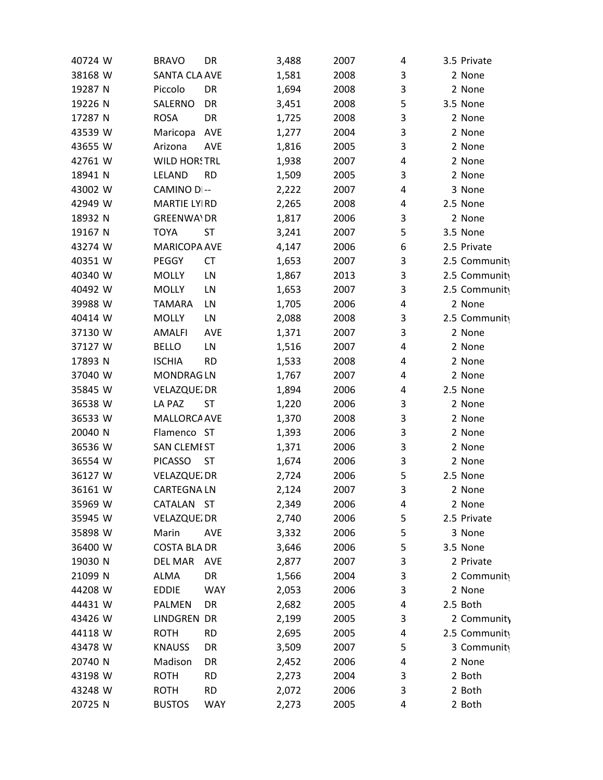| 40724 W | <b>BRAVO</b>         | DR         | 3,488 | 2007 | 4 | 3.5 Private   |
|---------|----------------------|------------|-------|------|---|---------------|
| 38168 W | <b>SANTA CLA AVE</b> |            | 1,581 | 2008 | 3 | 2 None        |
| 19287 N | Piccolo              | DR         | 1,694 | 2008 | 3 | 2 None        |
| 19226 N | SALERNO              | DR         | 3,451 | 2008 | 5 | 3.5 None      |
| 17287 N | <b>ROSA</b>          | DR         | 1,725 | 2008 | 3 | 2 None        |
| 43539 W | Maricopa             | AVE        | 1,277 | 2004 | 3 | 2 None        |
| 43655 W | Arizona              | <b>AVE</b> | 1,816 | 2005 | 3 | 2 None        |
| 42761 W | <b>WILD HORSTRL</b>  |            | 1,938 | 2007 | 4 | 2 None        |
| 18941 N | LELAND               | <b>RD</b>  | 1,509 | 2005 | 3 | 2 None        |
| 43002 W | CAMINO DI--          |            | 2,222 | 2007 | 4 | 3 None        |
| 42949 W | <b>MARTIE LYIRD</b>  |            | 2,265 | 2008 | 4 | 2.5 None      |
| 18932 N | <b>GREENWA\DR</b>    |            | 1,817 | 2006 | 3 | 2 None        |
| 19167 N | TOYA                 | ST         | 3,241 | 2007 | 5 | 3.5 None      |
| 43274 W | MARICOPA AVE         |            | 4,147 | 2006 | 6 | 2.5 Private   |
| 40351 W | PEGGY                | CT         | 1,653 | 2007 | 3 | 2.5 Community |
| 40340 W | <b>MOLLY</b>         | LN         | 1,867 | 2013 | 3 | 2.5 Community |
| 40492 W | <b>MOLLY</b>         | LN         | 1,653 | 2007 | 3 | 2.5 Community |
| 39988 W | <b>TAMARA</b>        | LN         | 1,705 | 2006 | 4 | 2 None        |
| 40414 W | <b>MOLLY</b>         | LN         | 2,088 | 2008 | 3 | 2.5 Community |
| 37130 W | <b>AMALFI</b>        | AVE        | 1,371 | 2007 | 3 | 2 None        |
| 37127 W | <b>BELLO</b>         | LN         | 1,516 | 2007 | 4 | 2 None        |
| 17893 N | <b>ISCHIA</b>        | <b>RD</b>  | 1,533 | 2008 | 4 | 2 None        |
| 37040 W | <b>MONDRAGLN</b>     |            | 1,767 | 2007 | 4 | 2 None        |
| 35845 W | VELAZQUE DR          |            | 1,894 | 2006 | 4 | 2.5 None      |
| 36538 W | LA PAZ               | <b>ST</b>  | 1,220 | 2006 | 3 | 2 None        |
| 36533 W | MALLORCA AVE         |            | 1,370 | 2008 | 3 | 2 None        |
| 20040 N | Flamenco ST          |            | 1,393 | 2006 | 3 | 2 None        |
| 36536 W | <b>SAN CLEMEST</b>   |            | 1,371 | 2006 | 3 | 2 None        |
| 36554 W | <b>PICASSO</b>       | <b>ST</b>  | 1,674 | 2006 | 3 | 2 None        |
| 36127 W | VELAZQUE DR          |            | 2,724 | 2006 | 5 | 2.5 None      |
| 36161 W | <b>CARTEGNALN</b>    |            | 2,124 | 2007 | 3 | 2 None        |
| 35969 W | CATALAN ST           |            | 2,349 | 2006 | 4 | 2 None        |
| 35945 W | VELAZQUE DR          |            | 2,740 | 2006 | 5 | 2.5 Private   |
| 35898 W | Marin                | <b>AVE</b> | 3,332 | 2006 | 5 | 3 None        |
| 36400 W | <b>COSTA BLA DR</b>  |            | 3,646 | 2006 | 5 | 3.5 None      |
| 19030 N | DEL MAR              | AVE        | 2,877 | 2007 | 3 | 2 Private     |
| 21099 N | ALMA                 | DR         | 1,566 | 2004 | 3 | 2 Community   |
| 44208 W | <b>EDDIE</b>         | <b>WAY</b> | 2,053 | 2006 | 3 | 2 None        |
| 44431 W | PALMEN               | DR         | 2,682 | 2005 | 4 | 2.5 Both      |
| 43426 W | LINDGREN DR          |            | 2,199 | 2005 | 3 | 2 Community   |
| 44118 W | <b>ROTH</b>          | <b>RD</b>  | 2,695 | 2005 | 4 | 2.5 Community |
| 43478 W | <b>KNAUSS</b>        | DR         | 3,509 | 2007 | 5 | 3 Community   |
| 20740 N | Madison              | DR         | 2,452 | 2006 | 4 | 2 None        |
| 43198 W | <b>ROTH</b>          | <b>RD</b>  | 2,273 | 2004 | 3 | 2 Both        |
| 43248 W | <b>ROTH</b>          | <b>RD</b>  | 2,072 | 2006 | 3 | 2 Both        |
| 20725 N | <b>BUSTOS</b>        | <b>WAY</b> | 2,273 | 2005 | 4 | 2 Both        |
|         |                      |            |       |      |   |               |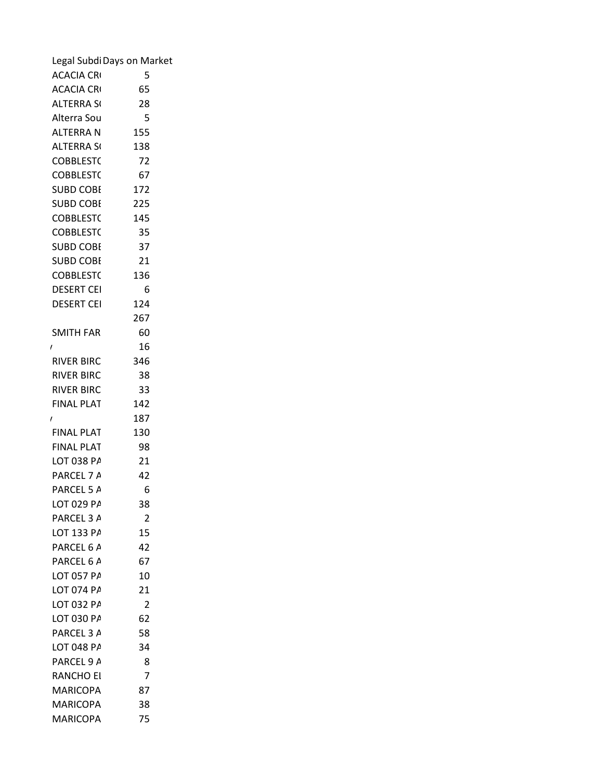| Legal Subdi Days on Market |                  |
|----------------------------|------------------|
| <b>ACACIA CRI</b>          | 5                |
| <b>ACACIA CRI</b>          | 65               |
| <b>ALTERRA SI</b>          | 28               |
| Alterra Sou                | 5                |
| <b>ALTERRAN</b>            | 155              |
| <b>ALTERRA SI</b>          | 138              |
| <b>COBBLEST(</b>           | 72               |
| <b>COBBLEST(</b>           | 67               |
| <b>SUBD COBI</b>           | 172              |
| <b>SUBD COBI</b>           | 225              |
| <b>COBBLEST(</b>           | 145              |
| <b>COBBLEST(</b>           | 35               |
| <b>SUBD COBI</b>           | 37               |
| <b>SUBD COBI</b>           | 21               |
| <b>COBBLEST(</b>           | 136              |
| <b>DESERT CEI</b>          | $\boldsymbol{6}$ |
| <b>DESERT CEI</b>          | 124              |
|                            | 267              |
| <b>SMITH FAR</b>           | 60               |
| $\prime$                   | 16               |
| <b>RIVER BIRC</b>          | 346              |
| <b>RIVER BIRC</b>          | 38               |
| <b>RIVER BIRC</b>          | 33               |
| <b>FINAL PLAT</b>          | 142              |
| $\prime$                   | 187              |
| <b>FINAL PLAT</b>          | 130              |
| <b>FINAL PLAT</b>          | 98               |
| LOT 038 PA                 | 21               |
| PARCEL 7 A                 | 42               |
| PARCEL 5 A                 | $\boldsymbol{6}$ |
| LOT 029 PA                 | 38               |
| PARCEL 3 A                 | $\overline{2}$   |
| LOT 133 PA                 | 15               |
| PARCEL 6 A                 | 42               |
| PARCEL 6 A                 | 67               |
| LOT 057 PA                 | 10               |
| LOT 074 PA                 | 21               |
| LOT 032 PA                 | $\overline{2}$   |
| LOT 030 PA                 | 62               |
| PARCEL 3 A                 | 58               |
| LOT 048 PA                 | 34               |
| PARCEL 9 A                 | 8                |
| <b>RANCHO EI</b>           | $\overline{7}$   |
| <b>MARICOPA</b>            | 87               |
| <b>MARICOPA</b>            | 38               |
| MARICOPA                   | 75               |
|                            |                  |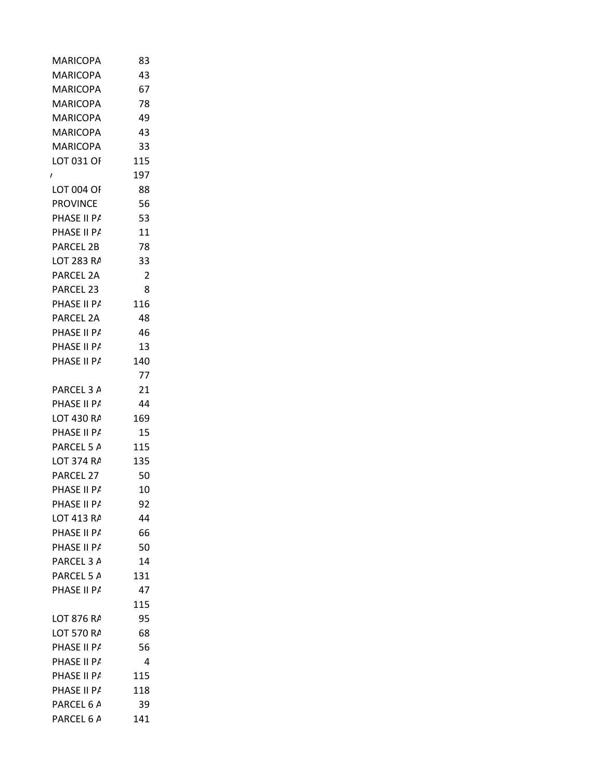| <b>MARICOPA</b><br><b>MARICOPA</b><br><b>MARICOPA</b><br><b>MARICOPA</b><br><b>MARICOPA</b><br><b>MARICOPA</b><br>LOT 031 OF<br>I.<br>LOT 004 OF<br><b>PROVINCE</b><br>PHASE II P/<br>PHASE II P/<br>PARCEL 2B<br>LOT 283 RA<br>PARCEL 2A<br>PARCEL 23<br>PHASE II P/<br>PARCEL 2A<br>PHASE II P/<br>PHASE II P/<br>PHASE II P/<br>PARCEL 3 A<br>PHASE II P/<br>LOT 430 RA<br>PHASE II P/<br>PARCEL 5 A | 43<br>67<br>78<br>49<br>43<br>33<br>115<br>197<br>88<br>56<br>53<br>11<br>78<br>33<br>$\overline{2}$<br>8<br>116<br>48<br>46<br>13<br>140<br>77 |
|---------------------------------------------------------------------------------------------------------------------------------------------------------------------------------------------------------------------------------------------------------------------------------------------------------------------------------------------------------------------------------------------------------|-------------------------------------------------------------------------------------------------------------------------------------------------|
|                                                                                                                                                                                                                                                                                                                                                                                                         |                                                                                                                                                 |
|                                                                                                                                                                                                                                                                                                                                                                                                         |                                                                                                                                                 |
|                                                                                                                                                                                                                                                                                                                                                                                                         |                                                                                                                                                 |
|                                                                                                                                                                                                                                                                                                                                                                                                         |                                                                                                                                                 |
|                                                                                                                                                                                                                                                                                                                                                                                                         |                                                                                                                                                 |
|                                                                                                                                                                                                                                                                                                                                                                                                         |                                                                                                                                                 |
|                                                                                                                                                                                                                                                                                                                                                                                                         |                                                                                                                                                 |
|                                                                                                                                                                                                                                                                                                                                                                                                         |                                                                                                                                                 |
|                                                                                                                                                                                                                                                                                                                                                                                                         |                                                                                                                                                 |
|                                                                                                                                                                                                                                                                                                                                                                                                         |                                                                                                                                                 |
|                                                                                                                                                                                                                                                                                                                                                                                                         |                                                                                                                                                 |
|                                                                                                                                                                                                                                                                                                                                                                                                         |                                                                                                                                                 |
|                                                                                                                                                                                                                                                                                                                                                                                                         |                                                                                                                                                 |
|                                                                                                                                                                                                                                                                                                                                                                                                         |                                                                                                                                                 |
|                                                                                                                                                                                                                                                                                                                                                                                                         |                                                                                                                                                 |
|                                                                                                                                                                                                                                                                                                                                                                                                         |                                                                                                                                                 |
|                                                                                                                                                                                                                                                                                                                                                                                                         |                                                                                                                                                 |
|                                                                                                                                                                                                                                                                                                                                                                                                         |                                                                                                                                                 |
|                                                                                                                                                                                                                                                                                                                                                                                                         |                                                                                                                                                 |
|                                                                                                                                                                                                                                                                                                                                                                                                         |                                                                                                                                                 |
|                                                                                                                                                                                                                                                                                                                                                                                                         |                                                                                                                                                 |
|                                                                                                                                                                                                                                                                                                                                                                                                         |                                                                                                                                                 |
|                                                                                                                                                                                                                                                                                                                                                                                                         |                                                                                                                                                 |
|                                                                                                                                                                                                                                                                                                                                                                                                         | 21                                                                                                                                              |
|                                                                                                                                                                                                                                                                                                                                                                                                         | 44                                                                                                                                              |
|                                                                                                                                                                                                                                                                                                                                                                                                         | 169                                                                                                                                             |
|                                                                                                                                                                                                                                                                                                                                                                                                         | 15                                                                                                                                              |
|                                                                                                                                                                                                                                                                                                                                                                                                         | 115                                                                                                                                             |
| LOT 374 RA                                                                                                                                                                                                                                                                                                                                                                                              | 135                                                                                                                                             |
| PARCEL 27                                                                                                                                                                                                                                                                                                                                                                                               | 50                                                                                                                                              |
| PHASE II P/                                                                                                                                                                                                                                                                                                                                                                                             | 10                                                                                                                                              |
| PHASE II P/                                                                                                                                                                                                                                                                                                                                                                                             | 92                                                                                                                                              |
| LOT 413 RA                                                                                                                                                                                                                                                                                                                                                                                              | 44                                                                                                                                              |
| PHASE II P/                                                                                                                                                                                                                                                                                                                                                                                             | 66                                                                                                                                              |
| PHASE II P/                                                                                                                                                                                                                                                                                                                                                                                             | 50                                                                                                                                              |
| PARCEL 3 A                                                                                                                                                                                                                                                                                                                                                                                              | 14                                                                                                                                              |
| PARCEL 5 A                                                                                                                                                                                                                                                                                                                                                                                              | 131                                                                                                                                             |
| PHASE II P/                                                                                                                                                                                                                                                                                                                                                                                             | 47                                                                                                                                              |
|                                                                                                                                                                                                                                                                                                                                                                                                         | 115                                                                                                                                             |
| LOT 876 RA                                                                                                                                                                                                                                                                                                                                                                                              | 95                                                                                                                                              |
| LOT 570 RA                                                                                                                                                                                                                                                                                                                                                                                              | 68                                                                                                                                              |
| PHASE II P/                                                                                                                                                                                                                                                                                                                                                                                             | 56                                                                                                                                              |
| PHASE II P/                                                                                                                                                                                                                                                                                                                                                                                             | 4                                                                                                                                               |
| PHASE II P/                                                                                                                                                                                                                                                                                                                                                                                             | 115                                                                                                                                             |
| PHASE II P/                                                                                                                                                                                                                                                                                                                                                                                             | 118                                                                                                                                             |
| PARCEL 6 A                                                                                                                                                                                                                                                                                                                                                                                              | 39                                                                                                                                              |
| PARCEL 6 A                                                                                                                                                                                                                                                                                                                                                                                              |                                                                                                                                                 |